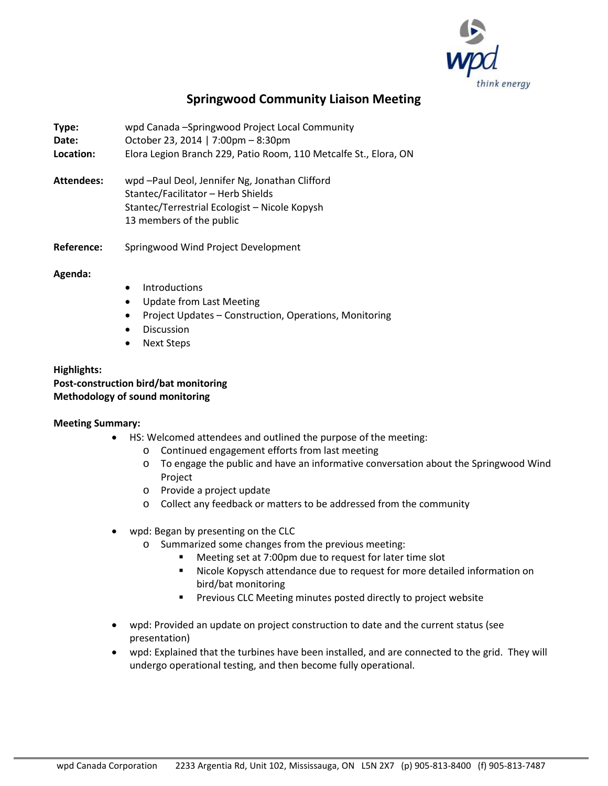

# **Springwood Community Liaison Meeting**

**Type:** wpd Canada –Springwood Project Local Community **Date:** October 23, 2014 | 7:00pm – 8:30pm **Location:** Elora Legion Branch 229, Patio Room, 110 Metcalfe St., Elora, ON

- **Attendees:** wpd –Paul Deol, Jennifer Ng, Jonathan Clifford Stantec/Facilitator – Herb Shields Stantec/Terrestrial Ecologist – Nicole Kopysh 13 members of the public
- **Reference:** Springwood Wind Project Development

#### **Agenda:**

- Introductions
- Update from Last Meeting
- Project Updates Construction, Operations, Monitoring
- Discussion
- Next Steps

## **Highlights: Post-construction bird/bat monitoring Methodology of sound monitoring**

#### **Meeting Summary:**

- HS: Welcomed attendees and outlined the purpose of the meeting:
	- o Continued engagement efforts from last meeting
	- o To engage the public and have an informative conversation about the Springwood Wind Project
	- o Provide a project update
	- o Collect any feedback or matters to be addressed from the community
- wpd: Began by presenting on the CLC
	- o Summarized some changes from the previous meeting:
		- Meeting set at 7:00pm due to request for later time slot
		- Nicole Kopysch attendance due to request for more detailed information on bird/bat monitoring
		- **Previous CLC Meeting minutes posted directly to project website**
- wpd: Provided an update on project construction to date and the current status (see presentation)
- wpd: Explained that the turbines have been installed, and are connected to the grid. They will undergo operational testing, and then become fully operational.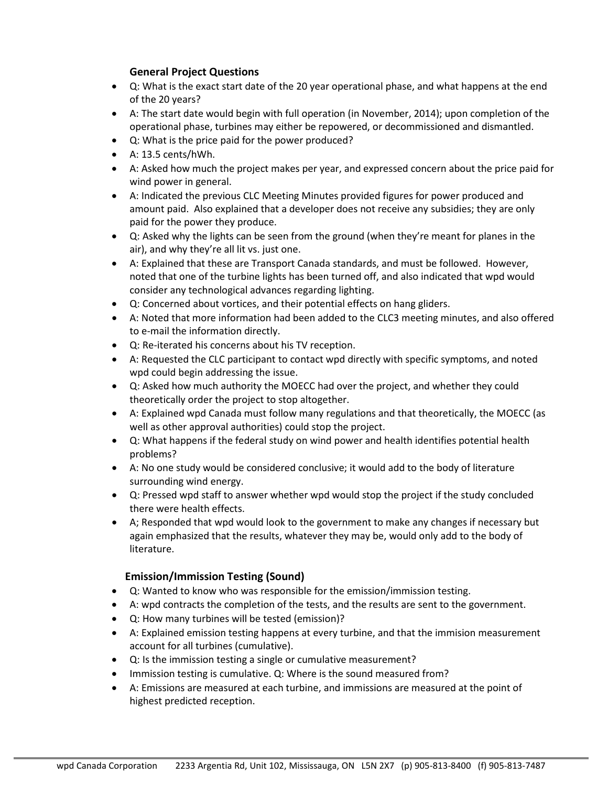## **General Project Questions**

- Q: What is the exact start date of the 20 year operational phase, and what happens at the end of the 20 years?
- A: The start date would begin with full operation (in November, 2014); upon completion of the operational phase, turbines may either be repowered, or decommissioned and dismantled.
- Q: What is the price paid for the power produced?
- A: 13.5 cents/hWh.
- A: Asked how much the project makes per year, and expressed concern about the price paid for wind power in general.
- A: Indicated the previous CLC Meeting Minutes provided figures for power produced and amount paid. Also explained that a developer does not receive any subsidies; they are only paid for the power they produce.
- Q: Asked why the lights can be seen from the ground (when they're meant for planes in the air), and why they're all lit vs. just one.
- A: Explained that these are Transport Canada standards, and must be followed. However, noted that one of the turbine lights has been turned off, and also indicated that wpd would consider any technological advances regarding lighting.
- Q: Concerned about vortices, and their potential effects on hang gliders.
- A: Noted that more information had been added to the CLC3 meeting minutes, and also offered to e-mail the information directly.
- Q: Re-iterated his concerns about his TV reception.
- A: Requested the CLC participant to contact wpd directly with specific symptoms, and noted wpd could begin addressing the issue.
- Q: Asked how much authority the MOECC had over the project, and whether they could theoretically order the project to stop altogether.
- A: Explained wpd Canada must follow many regulations and that theoretically, the MOECC (as well as other approval authorities) could stop the project.
- Q: What happens if the federal study on wind power and health identifies potential health problems?
- A: No one study would be considered conclusive; it would add to the body of literature surrounding wind energy.
- Q: Pressed wpd staff to answer whether wpd would stop the project if the study concluded there were health effects.
- A; Responded that wpd would look to the government to make any changes if necessary but again emphasized that the results, whatever they may be, would only add to the body of literature.

## **Emission/Immission Testing (Sound)**

- Q: Wanted to know who was responsible for the emission/immission testing.
- A: wpd contracts the completion of the tests, and the results are sent to the government.
- Q: How many turbines will be tested (emission)?
- A: Explained emission testing happens at every turbine, and that the immision measurement account for all turbines (cumulative).
- Q: Is the immission testing a single or cumulative measurement?
- Immission testing is cumulative. Q: Where is the sound measured from?
- A: Emissions are measured at each turbine, and immissions are measured at the point of highest predicted reception.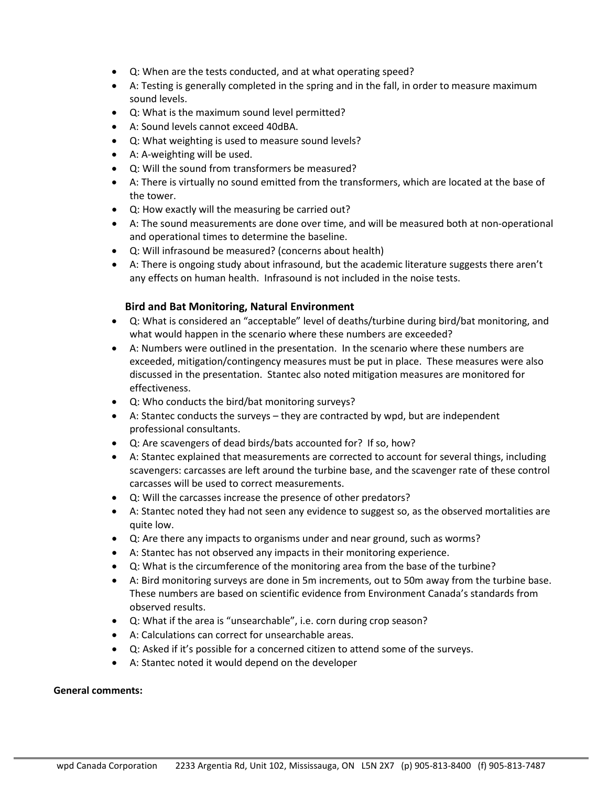- Q: When are the tests conducted, and at what operating speed?
- A: Testing is generally completed in the spring and in the fall, in order to measure maximum sound levels.
- Q: What is the maximum sound level permitted?
- A: Sound levels cannot exceed 40dBA.
- Q: What weighting is used to measure sound levels?
- A: A-weighting will be used.
- Q: Will the sound from transformers be measured?
- A: There is virtually no sound emitted from the transformers, which are located at the base of the tower.
- Q: How exactly will the measuring be carried out?
- A: The sound measurements are done over time, and will be measured both at non-operational and operational times to determine the baseline.
- Q: Will infrasound be measured? (concerns about health)
- A: There is ongoing study about infrasound, but the academic literature suggests there aren't any effects on human health. Infrasound is not included in the noise tests.

## **Bird and Bat Monitoring, Natural Environment**

- Q: What is considered an "acceptable" level of deaths/turbine during bird/bat monitoring, and what would happen in the scenario where these numbers are exceeded?
- A: Numbers were outlined in the presentation. In the scenario where these numbers are exceeded, mitigation/contingency measures must be put in place. These measures were also discussed in the presentation. Stantec also noted mitigation measures are monitored for effectiveness.
- Q: Who conducts the bird/bat monitoring surveys?
- A: Stantec conducts the surveys they are contracted by wpd, but are independent professional consultants.
- Q: Are scavengers of dead birds/bats accounted for? If so, how?
- A: Stantec explained that measurements are corrected to account for several things, including scavengers: carcasses are left around the turbine base, and the scavenger rate of these control carcasses will be used to correct measurements.
- Q: Will the carcasses increase the presence of other predators?
- A: Stantec noted they had not seen any evidence to suggest so, as the observed mortalities are quite low.
- Q: Are there any impacts to organisms under and near ground, such as worms?
- A: Stantec has not observed any impacts in their monitoring experience.
- Q: What is the circumference of the monitoring area from the base of the turbine?
- A: Bird monitoring surveys are done in 5m increments, out to 50m away from the turbine base. These numbers are based on scientific evidence from Environment Canada's standards from observed results.
- Q: What if the area is "unsearchable", i.e. corn during crop season?
- A: Calculations can correct for unsearchable areas.
- Q: Asked if it's possible for a concerned citizen to attend some of the surveys.
- A: Stantec noted it would depend on the developer

#### **General comments:**